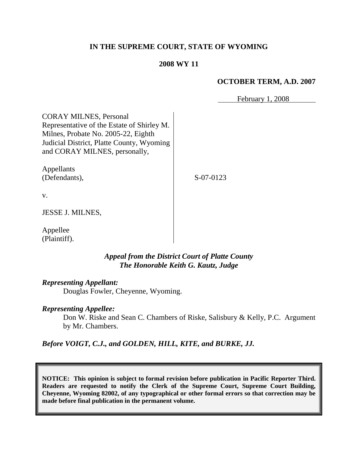# **IN THE SUPREME COURT, STATE OF WYOMING**

## **2008 WY 11**

## **OCTOBER TERM, A.D. 2007**

February 1, 2008

CORAY MILNES, Personal Representative of the Estate of Shirley M. Milnes, Probate No. 2005-22, Eighth Judicial District, Platte County, Wyoming and CORAY MILNES, personally,

Appellants (Defendants),

S-07-0123

v.

JESSE J. MILNES,

Appellee (Plaintiff).

## *Appeal from the District Court of Platte County The Honorable Keith G. Kautz, Judge*

*Representing Appellant:*

Douglas Fowler, Cheyenne, Wyoming.

## *Representing Appellee:*

Don W. Riske and Sean C. Chambers of Riske, Salisbury & Kelly, P.C. Argument by Mr. Chambers.

*Before VOIGT, C.J., and GOLDEN, HILL, KITE, and BURKE, JJ.*

**NOTICE: This opinion is subject to formal revision before publication in Pacific Reporter Third. Readers are requested to notify the Clerk of the Supreme Court, Supreme Court Building, Cheyenne, Wyoming 82002, of any typographical or other formal errors so that correction may be made before final publication in the permanent volume.**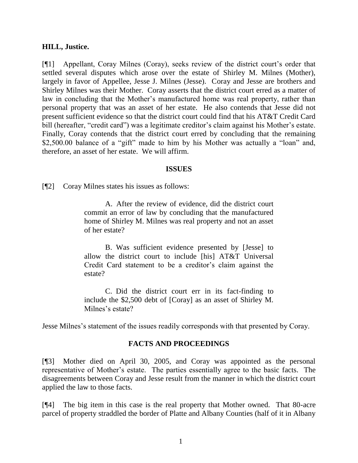#### **HILL, Justice.**

[¶1] Appellant, Coray Milnes (Coray), seeks review of the district court"s order that settled several disputes which arose over the estate of Shirley M. Milnes (Mother), largely in favor of Appellee, Jesse J. Milnes (Jesse). Coray and Jesse are brothers and Shirley Milnes was their Mother. Coray asserts that the district court erred as a matter of law in concluding that the Mother's manufactured home was real property, rather than personal property that was an asset of her estate. He also contends that Jesse did not present sufficient evidence so that the district court could find that his AT&T Credit Card bill (hereafter, "credit card") was a legitimate creditor's claim against his Mother's estate. Finally, Coray contends that the district court erred by concluding that the remaining \$2,500.00 balance of a "gift" made to him by his Mother was actually a "loan" and, therefore, an asset of her estate. We will affirm.

#### **ISSUES**

[¶2] Coray Milnes states his issues as follows:

A. After the review of evidence, did the district court commit an error of law by concluding that the manufactured home of Shirley M. Milnes was real property and not an asset of her estate?

B. Was sufficient evidence presented by [Jesse] to allow the district court to include [his] AT&T Universal Credit Card statement to be a creditor"s claim against the estate?

C. Did the district court err in its fact-finding to include the \$2,500 debt of [Coray] as an asset of Shirley M. Milnes's estate?

Jesse Milnes's statement of the issues readily corresponds with that presented by Coray.

#### **FACTS AND PROCEEDINGS**

[¶3] Mother died on April 30, 2005, and Coray was appointed as the personal representative of Mother"s estate. The parties essentially agree to the basic facts. The disagreements between Coray and Jesse result from the manner in which the district court applied the law to those facts.

[¶4] The big item in this case is the real property that Mother owned. That 80-acre parcel of property straddled the border of Platte and Albany Counties (half of it in Albany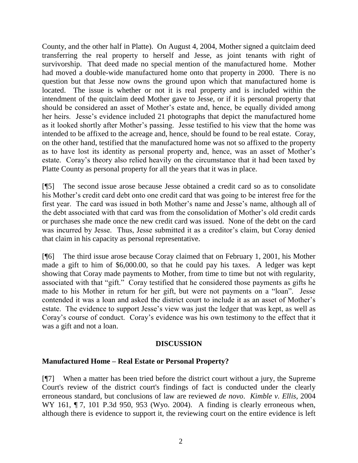County, and the other half in Platte). On August 4, 2004, Mother signed a quitclaim deed transferring the real property to herself and Jesse, as joint tenants with right of survivorship. That deed made no special mention of the manufactured home. Mother had moved a double-wide manufactured home onto that property in 2000. There is no question but that Jesse now owns the ground upon which that manufactured home is located. The issue is whether or not it is real property and is included within the intendment of the quitclaim deed Mother gave to Jesse, or if it is personal property that should be considered an asset of Mother's estate and, hence, be equally divided among her heirs. Jesse's evidence included 21 photographs that depict the manufactured home as it looked shortly after Mother"s passing. Jesse testified to his view that the home was intended to be affixed to the acreage and, hence, should be found to be real estate. Coray, on the other hand, testified that the manufactured home was not so affixed to the property as to have lost its identity as personal property and, hence, was an asset of Mother"s estate. Coray"s theory also relied heavily on the circumstance that it had been taxed by Platte County as personal property for all the years that it was in place.

[¶5] The second issue arose because Jesse obtained a credit card so as to consolidate his Mother"s credit card debt onto one credit card that was going to be interest free for the first year. The card was issued in both Mother"s name and Jesse"s name, although all of the debt associated with that card was from the consolidation of Mother"s old credit cards or purchases she made once the new credit card was issued. None of the debt on the card was incurred by Jesse. Thus, Jesse submitted it as a creditor's claim, but Coray denied that claim in his capacity as personal representative.

[¶6] The third issue arose because Coray claimed that on February 1, 2001, his Mother made a gift to him of \$6,000.00, so that he could pay his taxes. A ledger was kept showing that Coray made payments to Mother, from time to time but not with regularity, associated with that "gift." Coray testified that he considered those payments as gifts he made to his Mother in return for her gift, but were not payments on a "loan". Jesse contended it was a loan and asked the district court to include it as an asset of Mother"s estate. The evidence to support Jesse's view was just the ledger that was kept, as well as Coray"s course of conduct. Coray"s evidence was his own testimony to the effect that it was a gift and not a loan.

# **DISCUSSION**

# **Manufactured Home – Real Estate or Personal Property?**

[¶7] When a matter has been tried before the district court without a jury, the Supreme Court's review of the district court's findings of fact is conducted under the clearly erroneous standard, but conclusions of law are reviewed *de novo*. *Kimble v. Ellis*, 2004 WY 161, 17, 101 P.3d 950, 953 (Wyo. 2004). A finding is clearly erroneous when, although there is evidence to support it, the reviewing court on the entire evidence is left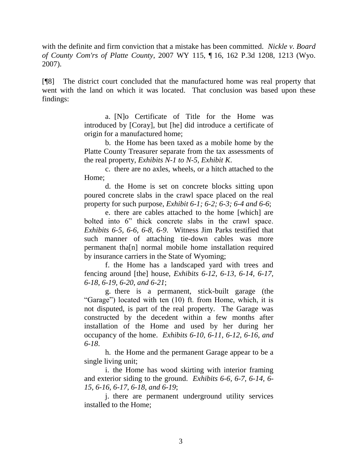with the definite and firm conviction that a mistake has been committed. *Nickle v. Board of County Com'rs of Platte County*, 2007 WY 115, ¶ 16, 162 P.3d 1208, 1213 (Wyo. 2007).

[¶8] The district court concluded that the manufactured home was real property that went with the land on which it was located. That conclusion was based upon these findings:

> a. [N]o Certificate of Title for the Home was introduced by [Coray], but [he] did introduce a certificate of origin for a manufactured home;

> b. the Home has been taxed as a mobile home by the Platte County Treasurer separate from the tax assessments of the real property, *Exhibits N-1 to N-5, Exhibit K*.

> c. there are no axles, wheels, or a hitch attached to the Home;

> d. the Home is set on concrete blocks sitting upon poured concrete slabs in the crawl space placed on the real property for such purpose, *Exhibit 6-1; 6-2; 6-3; 6-4 and 6-6*;

> e. there are cables attached to the home [which] are bolted into 6" thick concrete slabs in the crawl space. *Exhibits 6-5, 6-6, 6-8, 6-9*. Witness Jim Parks testified that such manner of attaching tie-down cables was more permanent tha[n] normal mobile home installation required by insurance carriers in the State of Wyoming;

> f. the Home has a landscaped yard with trees and fencing around [the] house, *Exhibits 6-12, 6-13, 6-14, 6-17, 6-18, 6-19, 6-20, and 6-21*;

> g. there is a permanent, stick-built garage (the "Garage") located with ten (10) ft. from Home, which, it is not disputed, is part of the real property. The Garage was constructed by the decedent within a few months after installation of the Home and used by her during her occupancy of the home. *Exhibits 6-10, 6-11, 6-12, 6-16, and 6-18*.

h. the Home and the permanent Garage appear to be a single living unit;

i. the Home has wood skirting with interior framing and exterior siding to the ground. *Exhibits 6-6, 6-7, 6-14, 6- 15, 6-16, 6-17, 6-18, and 6-19*;

j. there are permanent underground utility services installed to the Home;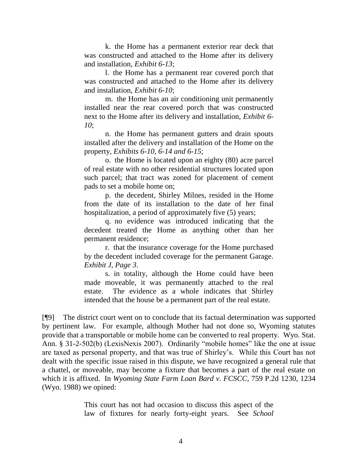k. the Home has a permanent exterior rear deck that was constructed and attached to the Home after its delivery and installation, *Exhibit 6-13*;

l. the Home has a permanent rear covered porch that was constructed and attached to the Home after its delivery and installation, *Exhibit 6-10*;

m. the Home has an air conditioning unit permanently installed near the rear covered porch that was constructed next to the Home after its delivery and installation, *Exhibit 6- 10*;

n. the Home has permanent gutters and drain spouts installed after the delivery and installation of the Home on the property, *Exhibits 6-10, 6-14 and 6-15*;

o. the Home is located upon an eighty (80) acre parcel of real estate with no other residential structures located upon such parcel; that tract was zoned for placement of cement pads to set a mobile home on;

p. the decedent, Shirley Milnes, resided in the Home from the date of its installation to the date of her final hospitalization, a period of approximately five (5) years;

q. no evidence was introduced indicating that the decedent treated the Home as anything other than her permanent residence;

r. that the insurance coverage for the Home purchased by the decedent included coverage for the permanent Garage. *Exhibit J, Page 3*.

s. in totality, although the Home could have been made moveable, it was permanently attached to the real estate. The evidence as a whole indicates that Shirley intended that the house be a permanent part of the real estate.

[¶9] The district court went on to conclude that its factual determination was supported by pertinent law. For example, although Mother had not done so, Wyoming statutes provide that a transportable or mobile home can be converted to real property. Wyo. Stat. Ann. § 31-2-502(b) (LexisNexis 2007). Ordinarily "mobile homes" like the one at issue are taxed as personal property, and that was true of Shirley"s. While this Court has not dealt with the specific issue raised in this dispute, we have recognized a general rule that a chattel, or moveable, may become a fixture that becomes a part of the real estate on which it is affixed. In *Wyoming State Farm Loan Bard v. FCSCC*, 759 P.2d 1230, 1234 (Wyo. 1988) we opined:

> This court has not had occasion to discuss this aspect of the law of fixtures for nearly forty-eight years. See *School*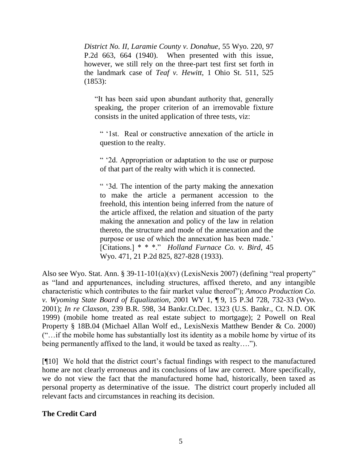*District No. II, Laramie County v. Donahue*, 55 Wyo. 220, 97 P.2d 663, 664 (1940). When presented with this issue, however, we still rely on the three-part test first set forth in the landmark case of *Teaf v. Hewitt*, 1 Ohio St. 511, 525 (1853):

"It has been said upon abundant authority that, generally speaking, the proper criterion of an irremovable fixture consists in the united application of three tests, viz:

" "1st. Real or constructive annexation of the article in question to the realty.

" "2d. Appropriation or adaptation to the use or purpose of that part of the realty with which it is connected.

" "3d. The intention of the party making the annexation to make the article a permanent accession to the freehold, this intention being inferred from the nature of the article affixed, the relation and situation of the party making the annexation and policy of the law in relation thereto, the structure and mode of the annexation and the purpose or use of which the annexation has been made.' [Citations.] \* \* \*." *Holland Furnace Co. v. Bird*, 45 Wyo. 471, 21 P.2d 825, 827-828 (1933).

Also see Wyo. Stat. Ann. § 39-11-101(a)(xv) (LexisNexis 2007) (defining "real property" as "land and appurtenances, including structures, affixed thereto, and any intangible characteristic which contributes to the fair market value thereof"); *Amoco Production Co. v. Wyoming State Board of Equalization*, 2001 WY 1, ¶ 9, 15 P.3d 728, 732-33 (Wyo. 2001); *In re Claxson*, 239 B.R. 598, 34 Bankr.Ct.Dec. 1323 (U.S. Bankr., Ct. N.D. OK 1999) (mobile home treated as real estate subject to mortgage); 2 Powell on Real Property § 18B.04 (Michael Allan Wolf ed., LexisNexis Matthew Bender & Co. 2000) ("…if the mobile home has substantially lost its identity as a mobile home by virtue of its being permanently affixed to the land, it would be taxed as realty….").

[¶10] We hold that the district court's factual findings with respect to the manufactured home are not clearly erroneous and its conclusions of law are correct. More specifically, we do not view the fact that the manufactured home had, historically, been taxed as personal property as determinative of the issue. The district court properly included all relevant facts and circumstances in reaching its decision.

# **The Credit Card**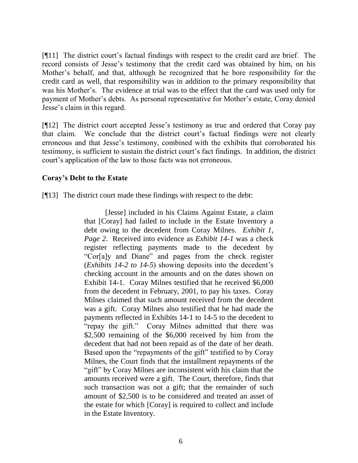[¶11] The district court"s factual findings with respect to the credit card are brief. The record consists of Jesse"s testimony that the credit card was obtained by him, on his Mother"s behalf, and that, although he recognized that he bore responsibility for the credit card as well, that responsibility was in addition to the primary responsibility that was his Mother's. The evidence at trial was to the effect that the card was used only for payment of Mother's debts. As personal representative for Mother's estate, Coray denied Jesse"s claim in this regard.

[¶12] The district court accepted Jesse's testimony as true and ordered that Coray pay that claim. We conclude that the district court's factual findings were not clearly erroneous and that Jesse"s testimony, combined with the exhibits that corroborated his testimony, is sufficient to sustain the district court"s fact findings. In addition, the district court"s application of the law to those facts was not erroneous.

# **Coray's Debt to the Estate**

[¶13] The district court made these findings with respect to the debt:

[Jesse] included in his Claims Against Estate, a claim that [Coray] had failed to include in the Estate Inventory a debt owing to the decedent from Coray Milnes. *Exhibit 1, Page 2*. Received into evidence as *Exhibit 14-1* was a check register reflecting payments made to the decedent by "Cor[a]y and Diane" and pages from the check register (*Exhibits 14-2 to 14-5*) showing deposits into the decedent"s checking account in the amounts and on the dates shown on Exhibit 14-1. Coray Milnes testified that he received \$6,000 from the decedent in February, 2001, to pay his taxes. Coray Milnes claimed that such amount received from the decedent was a gift. Coray Milnes also testified that he had made the payments reflected in Exhibits 14-1 to 14-5 to the decedent to "repay the gift." Coray Milnes admitted that there was \$2,500 remaining of the \$6,000 received by him from the decedent that had not been repaid as of the date of her death. Based upon the "repayments of the gift" testified to by Coray Milnes, the Court finds that the installment repayments of the "gift" by Coray Milnes are inconsistent with his claim that the amounts received were a gift. The Court, therefore, finds that such transaction was not a gift; that the remainder of such amount of \$2,500 is to be considered and treated an asset of the estate for which [Coray] is required to collect and include in the Estate Inventory.